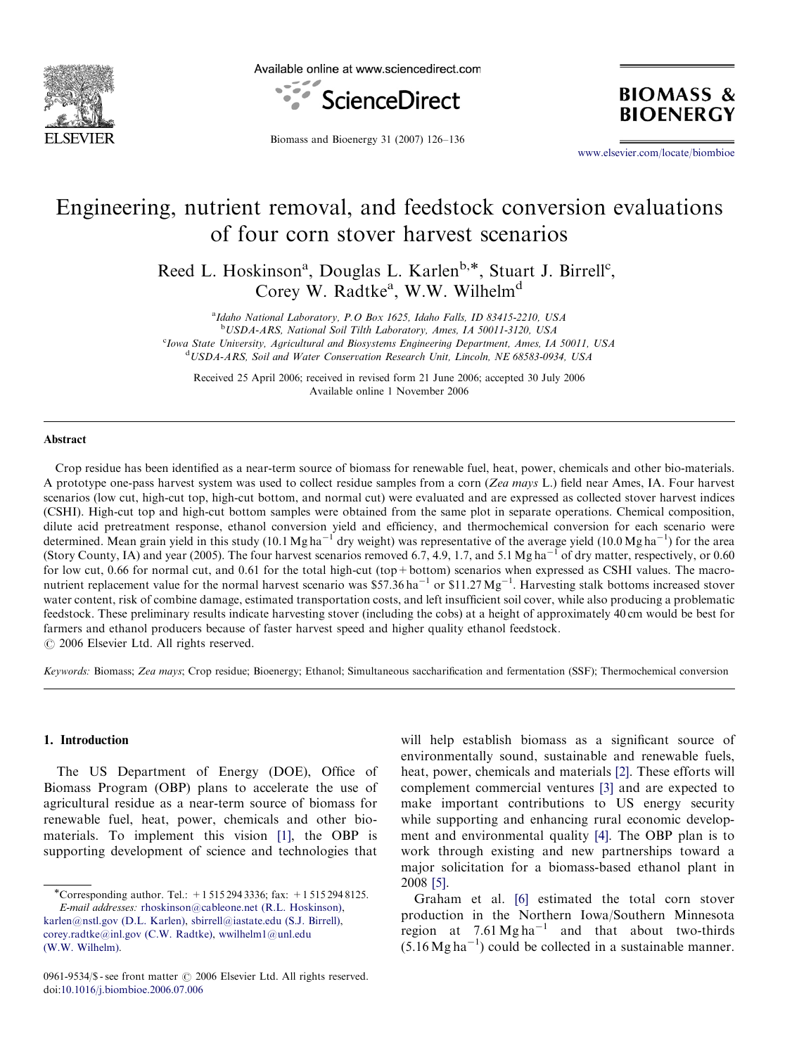

Available online at www.sciencedirect.com



Biomass and Bioenergy 31 (2007) 126–136

<www.elsevier.com/locate/biombioe>

**BIOMASS &** 

**BIOENERGY** 

# Engineering, nutrient removal, and feedstock conversion evaluations of four corn stover harvest scenarios

Reed L. Hoskinson<sup>a</sup>, Douglas L. Karlen<sup>b,\*</sup>, Stuart J. Birrell<sup>c</sup>, Corey W. Radtke<sup>a</sup>, W.W. Wilhelm<sup>d</sup>

<sup>a</sup>Idaho National Laboratory, P.O Box 1625, Idaho Falls, ID 83415-2210, USA b USDA-ARS, National Soil Tilth Laboratory, Ames, IA 50011-3120, USA <sup>c</sup>Iowa State University, Agricultural and Biosystems Engineering Department, Ames, IA 50011, USA <sup>d</sup>USDA-ARS, Soil and Water Conservation Research Unit, Lincoln, NE 68583-0934, USA

Received 25 April 2006; received in revised form 21 June 2006; accepted 30 July 2006 Available online 1 November 2006

#### Abstract

Crop residue has been identified as a near-term source of biomass for renewable fuel, heat, power, chemicals and other bio-materials. A prototype one-pass harvest system was used to collect residue samples from a corn (Zea mays L.) field near Ames, IA. Four harvest scenarios (low cut, high-cut top, high-cut bottom, and normal cut) were evaluated and are expressed as collected stover harvest indices (CSHI). High-cut top and high-cut bottom samples were obtained from the same plot in separate operations. Chemical composition, dilute acid pretreatment response, ethanol conversion yield and efficiency, and thermochemical conversion for each scenario were determined. Mean grain yield in this study (10.1 Mg ha<sup>-1</sup> dry weight) was representative of the average yield (10.0 Mg ha<sup>-1</sup>) for the area (Story County, IA) and year (2005). The four harvest scenarios removed 6.7, 4.9, 1.7, and 5.1 Mg ha<sup>-1</sup> of dry matter, respectively, or 0.60 for low cut, 0.66 for normal cut, and 0.61 for the total high-cut (top+bottom) scenarios when expressed as CSHI values. The macronutrient replacement value for the normal harvest scenario was \$57.36 ha<sup>-1</sup> or \$11.27  $Mg^{-1}$ . Harvesting stalk bottoms increased stover water content, risk of combine damage, estimated transportation costs, and left insufficient soil cover, while also producing a problematic feedstock. These preliminary results indicate harvesting stover (including the cobs) at a height of approximately 40 cm would be best for farmers and ethanol producers because of faster harvest speed and higher quality ethanol feedstock.  $\odot$  2006 Elsevier Ltd. All rights reserved.

Keywords: Biomass; Zea mays; Crop residue; Bioenergy; Ethanol; Simultaneous saccharification and fermentation (SSF); Thermochemical conversion

# 1. Introduction

The US Department of Energy (DOE), Office of Biomass Program (OBP) plans to accelerate the use of agricultural residue as a near-term source of biomass for renewable fuel, heat, power, chemicals and other biomaterials. To implement this vision [\[1\]](#page-9-0), the OBP is supporting development of science and technologies that

will help establish biomass as a significant source of environmentally sound, sustainable and renewable fuels, heat, power, chemicals and materials [\[2\]](#page-9-0). These efforts will complement commercial ventures [\[3\]](#page-9-0) and are expected to make important contributions to US energy security while supporting and enhancing rural economic development and environmental quality [\[4\].](#page-9-0) The OBP plan is to work through existing and new partnerships toward a major solicitation for a biomass-based ethanol plant in 2008 [\[5\]](#page-9-0).

Graham et al. [\[6\]](#page-9-0) estimated the total corn stover production in the Northern Iowa/Southern Minnesota region at  $7.61 \text{ Mg ha}^{-1}$  and that about two-thirds  $(5.16 \text{ Mg} \text{ ha}^{-1})$  could be collected in a sustainable manner.

<sup>-</sup>Corresponding author. Tel.: +1 515 294 3336; fax: +1 515 294 8125. E-mail addresses: [rhoskinson@cableone.net \(R.L. Hoskinson\),](mailto:karlen@nstl.gov)

karlen@nstl.gov (D.L. Karlen), [sbirrell@iastate.edu \(S.J. Birrell\),](mailto:corey.radtke@inl.gov) [corey.radtke@inl.gov \(C.W. Radtke\),](mailto:wwilhelm1@unl.edu) wwilhelm1@unl.edu [\(W.W. Wilhelm\).](mailto:wwilhelm1@unl.edu)

<sup>0961-9534/\$ -</sup> see front matter  $\odot$  2006 Elsevier Ltd. All rights reserved. doi:[10.1016/j.biombioe.2006.07.006](dx.doi.org/10.1016/j.biombioe.2006.07.006)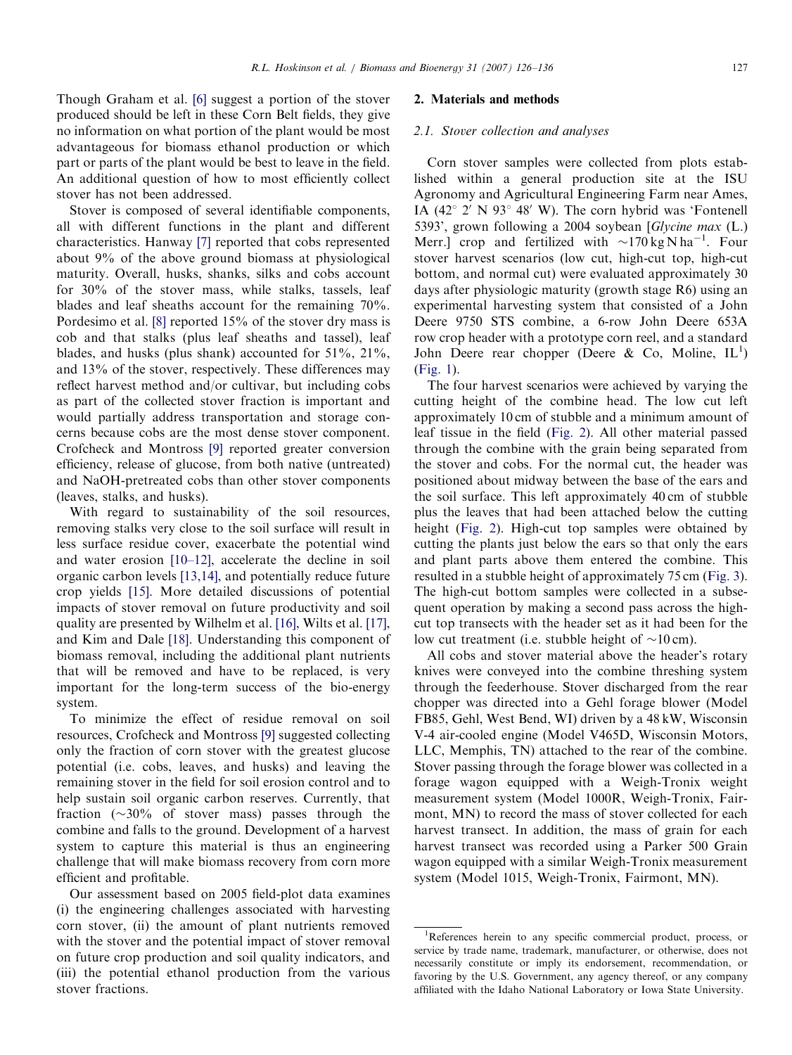Though Graham et al. [\[6\]](#page-9-0) suggest a portion of the stover produced should be left in these Corn Belt fields, they give no information on what portion of the plant would be most advantageous for biomass ethanol production or which part or parts of the plant would be best to leave in the field. An additional question of how to most efficiently collect stover has not been addressed.

Stover is composed of several identifiable components, all with different functions in the plant and different characteristics. Hanway [\[7\]](#page-9-0) reported that cobs represented about 9% of the above ground biomass at physiological maturity. Overall, husks, shanks, silks and cobs account for 30% of the stover mass, while stalks, tassels, leaf blades and leaf sheaths account for the remaining 70%. Pordesimo et al. [\[8\]](#page-9-0) reported 15% of the stover dry mass is cob and that stalks (plus leaf sheaths and tassel), leaf blades, and husks (plus shank) accounted for  $51\%$ ,  $21\%$ , and 13% of the stover, respectively. These differences may reflect harvest method and/or cultivar, but including cobs as part of the collected stover fraction is important and would partially address transportation and storage concerns because cobs are the most dense stover component. Crofcheck and Montross [\[9\]](#page-9-0) reported greater conversion efficiency, release of glucose, from both native (untreated) and NaOH-pretreated cobs than other stover components (leaves, stalks, and husks).

With regard to sustainability of the soil resources, removing stalks very close to the soil surface will result in less surface residue cover, exacerbate the potential wind and water erosion [\[10–12\],](#page-9-0) accelerate the decline in soil organic carbon levels [\[13,14\],](#page-9-0) and potentially reduce future crop yields [\[15\]](#page-9-0). More detailed discussions of potential impacts of stover removal on future productivity and soil quality are presented by Wilhelm et al. [\[16\],](#page-9-0) Wilts et al. [\[17\],](#page-9-0) and Kim and Dale [\[18\]](#page-9-0). Understanding this component of biomass removal, including the additional plant nutrients that will be removed and have to be replaced, is very important for the long-term success of the bio-energy system.

To minimize the effect of residue removal on soil resources, Crofcheck and Montross [\[9\]](#page-9-0) suggested collecting only the fraction of corn stover with the greatest glucose potential (i.e. cobs, leaves, and husks) and leaving the remaining stover in the field for soil erosion control and to help sustain soil organic carbon reserves. Currently, that fraction  $(\sim 30\%$  of stover mass) passes through the combine and falls to the ground. Development of a harvest system to capture this material is thus an engineering challenge that will make biomass recovery from corn more efficient and profitable.

Our assessment based on 2005 field-plot data examines (i) the engineering challenges associated with harvesting corn stover, (ii) the amount of plant nutrients removed with the stover and the potential impact of stover removal on future crop production and soil quality indicators, and (iii) the potential ethanol production from the various stover fractions.

#### 2. Materials and methods

# 2.1. Stover collection and analyses

Corn stover samples were collected from plots established within a general production site at the ISU Agronomy and Agricultural Engineering Farm near Ames, IA (42 $\degree$  2' N 93 $\degree$  48' W). The corn hybrid was 'Fontenell 5393', grown following a 2004 soybean [Glycine max (L.) Merr.] crop and fertilized with  $\sim 170 \text{ kg N ha}^{-1}$ . Four stover harvest scenarios (low cut, high-cut top, high-cut bottom, and normal cut) were evaluated approximately 30 days after physiologic maturity (growth stage R6) using an experimental harvesting system that consisted of a John Deere 9750 STS combine, a 6-row John Deere 653A row crop header with a prototype corn reel, and a standard John Deere rear chopper (Deere & Co, Moline,  $IL^1$ ) ([Fig. 1](#page-2-0)).

The four harvest scenarios were achieved by varying the cutting height of the combine head. The low cut left approximately 10 cm of stubble and a minimum amount of leaf tissue in the field [\(Fig. 2\)](#page-2-0). All other material passed through the combine with the grain being separated from the stover and cobs. For the normal cut, the header was positioned about midway between the base of the ears and the soil surface. This left approximately 40 cm of stubble plus the leaves that had been attached below the cutting height [\(Fig. 2](#page-2-0)). High-cut top samples were obtained by cutting the plants just below the ears so that only the ears and plant parts above them entered the combine. This resulted in a stubble height of approximately 75 cm [\(Fig. 3\)](#page-2-0). The high-cut bottom samples were collected in a subsequent operation by making a second pass across the highcut top transects with the header set as it had been for the low cut treatment (i.e. stubble height of  $\sim 10 \text{ cm}$ ).

All cobs and stover material above the header's rotary knives were conveyed into the combine threshing system through the feederhouse. Stover discharged from the rear chopper was directed into a Gehl forage blower (Model FB85, Gehl, West Bend, WI) driven by a 48 kW, Wisconsin V-4 air-cooled engine (Model V465D, Wisconsin Motors, LLC, Memphis, TN) attached to the rear of the combine. Stover passing through the forage blower was collected in a forage wagon equipped with a Weigh-Tronix weight measurement system (Model 1000R, Weigh-Tronix, Fairmont, MN) to record the mass of stover collected for each harvest transect. In addition, the mass of grain for each harvest transect was recorded using a Parker 500 Grain wagon equipped with a similar Weigh-Tronix measurement system (Model 1015, Weigh-Tronix, Fairmont, MN).

<sup>&</sup>lt;sup>1</sup>References herein to any specific commercial product, process, or service by trade name, trademark, manufacturer, or otherwise, does not necessarily constitute or imply its endorsement, recommendation, or favoring by the U.S. Government, any agency thereof, or any company affiliated with the Idaho National Laboratory or Iowa State University.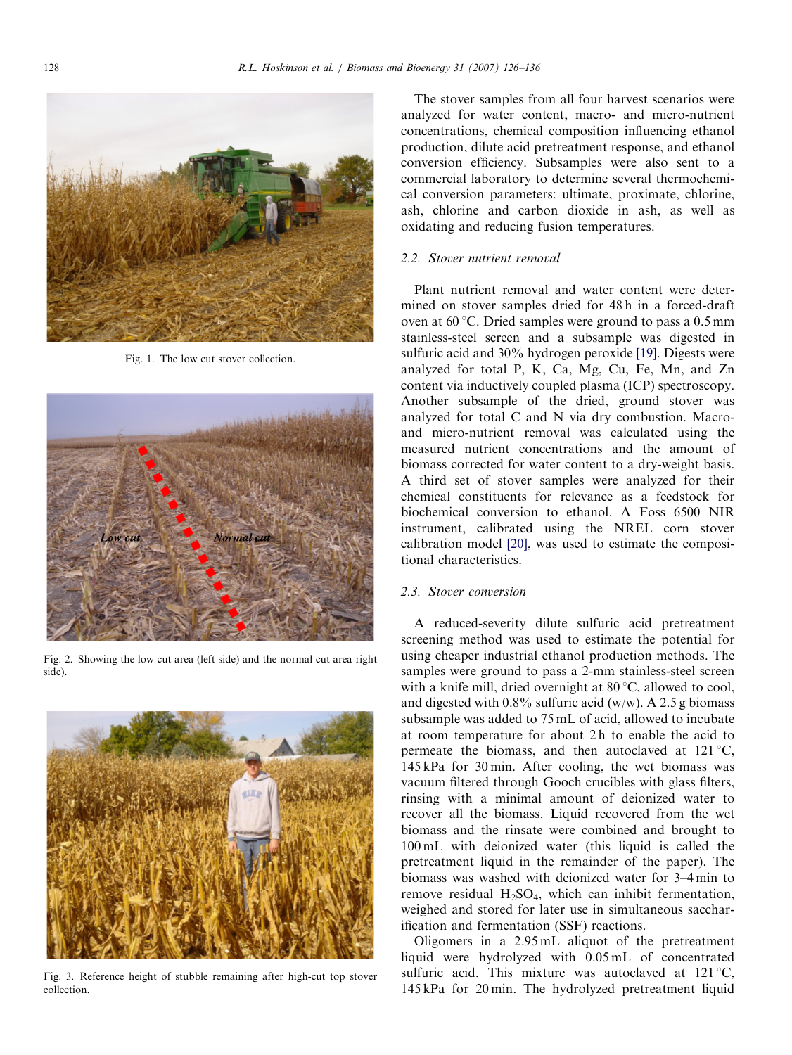<span id="page-2-0"></span>

Fig. 1. The low cut stover collection.



Fig. 2. Showing the low cut area (left side) and the normal cut area right side).



Fig. 3. Reference height of stubble remaining after high-cut top stover collection.

The stover samples from all four harvest scenarios were analyzed for water content, macro- and micro-nutrient concentrations, chemical composition influencing ethanol production, dilute acid pretreatment response, and ethanol conversion efficiency. Subsamples were also sent to a commercial laboratory to determine several thermochemical conversion parameters: ultimate, proximate, chlorine, ash, chlorine and carbon dioxide in ash, as well as oxidating and reducing fusion temperatures.

## 2.2. Stover nutrient removal

Plant nutrient removal and water content were determined on stover samples dried for 48 h in a forced-draft oven at  $60^{\circ}$ C. Dried samples were ground to pass a 0.5 mm stainless-steel screen and a subsample was digested in sulfuric acid and 30% hydrogen peroxide [\[19\]](#page-9-0). Digests were analyzed for total P, K, Ca, Mg, Cu, Fe, Mn, and Zn content via inductively coupled plasma (ICP) spectroscopy. Another subsample of the dried, ground stover was analyzed for total C and N via dry combustion. Macroand micro-nutrient removal was calculated using the measured nutrient concentrations and the amount of biomass corrected for water content to a dry-weight basis. A third set of stover samples were analyzed for their chemical constituents for relevance as a feedstock for biochemical conversion to ethanol. A Foss 6500 NIR instrument, calibrated using the NREL corn stover calibration model [\[20\],](#page-9-0) was used to estimate the compositional characteristics.

## 2.3. Stover conversion

A reduced-severity dilute sulfuric acid pretreatment screening method was used to estimate the potential for using cheaper industrial ethanol production methods. The samples were ground to pass a 2-mm stainless-steel screen with a knife mill, dried overnight at  $80^{\circ}$ C, allowed to cool, and digested with  $0.8\%$  sulfuric acid (w/w). A 2.5 g biomass subsample was added to 75 mL of acid, allowed to incubate at room temperature for about 2 h to enable the acid to permeate the biomass, and then autoclaved at  $121^{\circ}$ C, 145 kPa for 30 min. After cooling, the wet biomass was vacuum filtered through Gooch crucibles with glass filters, rinsing with a minimal amount of deionized water to recover all the biomass. Liquid recovered from the wet biomass and the rinsate were combined and brought to 100 mL with deionized water (this liquid is called the pretreatment liquid in the remainder of the paper). The biomass was washed with deionized water for 3–4 min to remove residual  $H_2SO_4$ , which can inhibit fermentation, weighed and stored for later use in simultaneous saccharification and fermentation (SSF) reactions.

Oligomers in a 2.95 mL aliquot of the pretreatment liquid were hydrolyzed with 0.05 mL of concentrated sulfuric acid. This mixture was autoclaved at  $121^{\circ}$ C, 145 kPa for 20 min. The hydrolyzed pretreatment liquid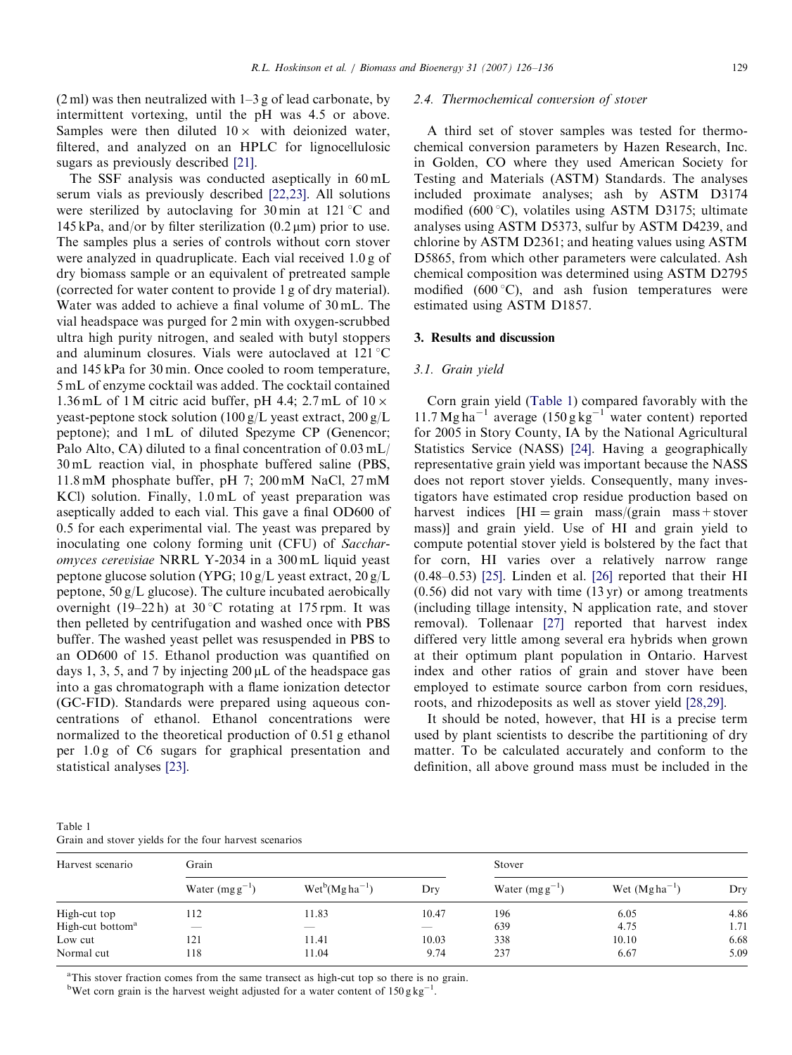<span id="page-3-0"></span> $(2 \text{ ml})$  was then neutralized with  $1-3$  g of lead carbonate, by intermittent vortexing, until the pH was 4.5 or above. Samples were then diluted  $10 \times$  with deionized water, filtered, and analyzed on an HPLC for lignocellulosic sugars as previously described [\[21\]](#page-9-0).

The SSF analysis was conducted aseptically in 60 mL serum vials as previously described [\[22,23\].](#page-9-0) All solutions were sterilized by autoclaving for 30 min at  $121^{\circ}$ C and 145 kPa, and/or by filter sterilization  $(0.2 \,\mu\text{m})$  prior to use. The samples plus a series of controls without corn stover were analyzed in quadruplicate. Each vial received 1.0 g of dry biomass sample or an equivalent of pretreated sample (corrected for water content to provide 1 g of dry material). Water was added to achieve a final volume of 30 mL. The vial headspace was purged for 2 min with oxygen-scrubbed ultra high purity nitrogen, and sealed with butyl stoppers and aluminum closures. Vials were autoclaved at  $121^{\circ}$ C and 145 kPa for 30 min. Once cooled to room temperature, 5 mL of enzyme cocktail was added. The cocktail contained 1.36 mL of 1 M citric acid buffer, pH 4.4;  $2.7$  mL of  $10 \times$ yeast-peptone stock solution (100 g/L yeast extract, 200 g/L peptone); and 1 mL of diluted Spezyme CP (Genencor; Palo Alto, CA) diluted to a final concentration of 0.03 mL/ 30 mL reaction vial, in phosphate buffered saline (PBS, 11.8 mM phosphate buffer, pH 7; 200 mM NaCl, 27 mM KCl) solution. Finally, 1.0 mL of yeast preparation was aseptically added to each vial. This gave a final OD600 of 0.5 for each experimental vial. The yeast was prepared by inoculating one colony forming unit (CFU) of Saccharomyces cerevisiae NRRL Y-2034 in a 300 mL liquid yeast peptone glucose solution (YPG; 10 g/L yeast extract, 20 g/L peptone, 50 g/L glucose). The culture incubated aerobically overnight (19–22 h) at 30 °C rotating at 175 rpm. It was then pelleted by centrifugation and washed once with PBS buffer. The washed yeast pellet was resuspended in PBS to an OD600 of 15. Ethanol production was quantified on days 1, 3, 5, and 7 by injecting  $200 \mu L$  of the headspace gas into a gas chromatograph with a flame ionization detector (GC-FID). Standards were prepared using aqueous concentrations of ethanol. Ethanol concentrations were normalized to the theoretical production of 0.51 g ethanol per 1.0 g of C6 sugars for graphical presentation and statistical analyses [\[23\].](#page-9-0)

### 2.4. Thermochemical conversion of stover

A third set of stover samples was tested for thermochemical conversion parameters by Hazen Research, Inc. in Golden, CO where they used American Society for Testing and Materials (ASTM) Standards. The analyses included proximate analyses; ash by ASTM D3174 modified  $(600 \degree C)$ , volatiles using ASTM D3175; ultimate analyses using ASTM D5373, sulfur by ASTM D4239, and chlorine by ASTM D2361; and heating values using ASTM D5865, from which other parameters were calculated. Ash chemical composition was determined using ASTM D2795 modified (600 $^{\circ}$ C), and ash fusion temperatures were estimated using ASTM D1857.

## 3. Results and discussion

#### 3.1. Grain yield

Corn grain yield (Table 1) compared favorably with the 11.7 Mg ha<sup>-1</sup> average  $(150 g kg^{-1}$  water content) reported for 2005 in Story County, IA by the National Agricultural Statistics Service (NASS) [\[24\].](#page-9-0) Having a geographically representative grain yield was important because the NASS does not report stover yields. Consequently, many investigators have estimated crop residue production based on harvest indices  $[HI = \text{grain} \text{mass}/(\text{grain} \text{mass} + \text{stover} \text{mass})$ mass)] and grain yield. Use of HI and grain yield to compute potential stover yield is bolstered by the fact that for corn, HI varies over a relatively narrow range (0.48–0.53) [\[25\]](#page-9-0). Linden et al. [\[26\]](#page-9-0) reported that their HI (0.56) did not vary with time (13 yr) or among treatments (including tillage intensity, N application rate, and stover removal). Tollenaar [\[27\]](#page-9-0) reported that harvest index differed very little among several era hybrids when grown at their optimum plant population in Ontario. Harvest index and other ratios of grain and stover have been employed to estimate source carbon from corn residues, roots, and rhizodeposits as well as stover yield [\[28,29\]](#page-9-0).

It should be noted, however, that HI is a precise term used by plant scientists to describe the partitioning of dry matter. To be calculated accurately and conform to the definition, all above ground mass must be included in the

Table 1 Grain and stover yields for the four harvest scenarios

| Harvest scenario             | Grain               |                      | Stover                   |                     |                   |      |
|------------------------------|---------------------|----------------------|--------------------------|---------------------|-------------------|------|
|                              | Water $(mg g^{-1})$ | $Wet^{b}(Mgha^{-1})$ | Dry                      | Water $(mg g^{-1})$ | Wet $(Mgha^{-1})$ | Dry  |
| High-cut top                 | 112                 | 11.83                | 10.47                    | 196                 | 6.05              | 4.86 |
| High-cut bottom <sup>a</sup> | $-$                 | ___                  | $\overline{\phantom{a}}$ | 639                 | 4.75              | 1.71 |
| Low cut                      | 121                 | 11.41                | 10.03                    | 338                 | 10.10             | 6.68 |
| Normal cut                   | 118                 | 11.04                | 9.74                     | 237                 | 6.67              | 5.09 |

<sup>a</sup>This stover fraction comes from the same transect as high-cut top so there is no grain.

<sup>b</sup>Wet corn grain is the harvest weight adjusted for a water content of  $150 \text{ g kg}^{-1}$ .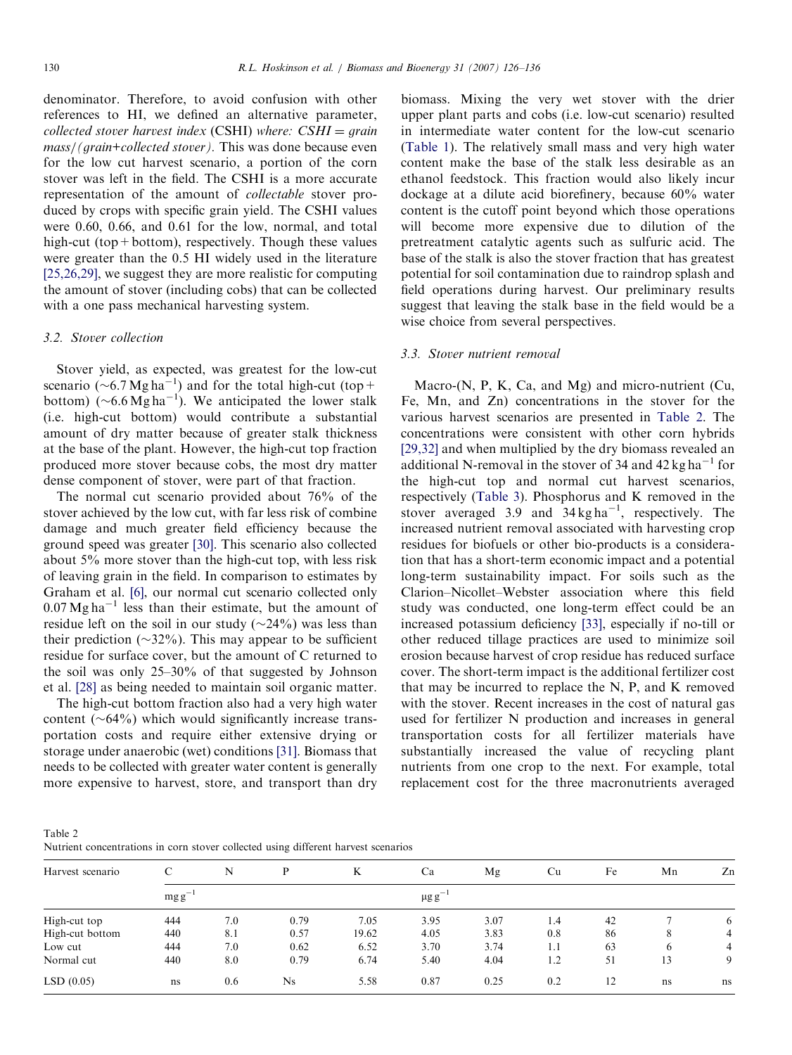<span id="page-4-0"></span>denominator. Therefore, to avoid confusion with other references to HI, we defined an alternative parameter, collected stover harvest index (CSHI) where:  $CSHI = grain$ mass/(grain+collected stover). This was done because even for the low cut harvest scenario, a portion of the corn stover was left in the field. The CSHI is a more accurate representation of the amount of collectable stover produced by crops with specific grain yield. The CSHI values were 0.60, 0.66, and 0.61 for the low, normal, and total high-cut (top+bottom), respectively. Though these values were greater than the 0.5 HI widely used in the literature [\[25,26,29\]](#page-9-0), we suggest they are more realistic for computing the amount of stover (including cobs) that can be collected with a one pass mechanical harvesting system.

#### 3.2. Stover collection

Stover yield, as expected, was greatest for the low-cut scenario (~6.7 Mg ha<sup>-1</sup>) and for the total high-cut (top+ bottom)  $(\sim 6.6 \text{ Mg ha}^{-1})$ . We anticipated the lower stalk (i.e. high-cut bottom) would contribute a substantial amount of dry matter because of greater stalk thickness at the base of the plant. However, the high-cut top fraction produced more stover because cobs, the most dry matter dense component of stover, were part of that fraction.

The normal cut scenario provided about 76% of the stover achieved by the low cut, with far less risk of combine damage and much greater field efficiency because the ground speed was greater [\[30\].](#page-9-0) This scenario also collected about 5% more stover than the high-cut top, with less risk of leaving grain in the field. In comparison to estimates by Graham et al. [\[6\]](#page-9-0), our normal cut scenario collected only  $0.07 \text{ Mg ha}^{-1}$  less than their estimate, but the amount of residue left on the soil in our study  $(\sim 24\%)$  was less than their prediction ( $\sim$ 32%). This may appear to be sufficient residue for surface cover, but the amount of C returned to the soil was only 25–30% of that suggested by Johnson et al. [\[28\]](#page-9-0) as being needed to maintain soil organic matter.

The high-cut bottom fraction also had a very high water content  $(\sim 64\%)$  which would significantly increase transportation costs and require either extensive drying or storage under anaerobic (wet) conditions [\[31\]](#page-9-0). Biomass that needs to be collected with greater water content is generally more expensive to harvest, store, and transport than dry biomass. Mixing the very wet stover with the drier upper plant parts and cobs (i.e. low-cut scenario) resulted in intermediate water content for the low-cut scenario [\(Table 1](#page-3-0)). The relatively small mass and very high water content make the base of the stalk less desirable as an ethanol feedstock. This fraction would also likely incur dockage at a dilute acid biorefinery, because 60% water content is the cutoff point beyond which those operations will become more expensive due to dilution of the pretreatment catalytic agents such as sulfuric acid. The base of the stalk is also the stover fraction that has greatest potential for soil contamination due to raindrop splash and field operations during harvest. Our preliminary results suggest that leaving the stalk base in the field would be a wise choice from several perspectives.

#### 3.3. Stover nutrient removal

Macro-(N, P, K, Ca, and Mg) and micro-nutrient (Cu, Fe, Mn, and Zn) concentrations in the stover for the various harvest scenarios are presented in Table 2. The concentrations were consistent with other corn hybrids [\[29,32\]](#page-9-0) and when multiplied by the dry biomass revealed an additional N-removal in the stover of 34 and 42 kg ha<sup>-1</sup> for the high-cut top and normal cut harvest scenarios, respectively [\(Table 3](#page-5-0)). Phosphorus and K removed in the stover averaged 3.9 and  $34 \text{ kg ha}^{-1}$ , respectively. The increased nutrient removal associated with harvesting crop residues for biofuels or other bio-products is a consideration that has a short-term economic impact and a potential long-term sustainability impact. For soils such as the Clarion–Nicollet–Webster association where this field study was conducted, one long-term effect could be an increased potassium deficiency [\[33\]](#page-10-0), especially if no-till or other reduced tillage practices are used to minimize soil erosion because harvest of crop residue has reduced surface cover. The short-term impact is the additional fertilizer cost that may be incurred to replace the N, P, and K removed with the stover. Recent increases in the cost of natural gas used for fertilizer N production and increases in general transportation costs for all fertilizer materials have substantially increased the value of recycling plant nutrients from one crop to the next. For example, total replacement cost for the three macronutrients averaged

| Table 2                                                                            |  |  |  |  |
|------------------------------------------------------------------------------------|--|--|--|--|
| Nutrient concentrations in corn stover collected using different harvest scenarios |  |  |  |  |

| Harvest scenario | C          | N   |           | K                       | Ca   | Mg   | Cu  | Fe | Mn | Zn             |
|------------------|------------|-----|-----------|-------------------------|------|------|-----|----|----|----------------|
|                  | $mgg^{-1}$ |     |           | $\mu$ g g <sup>-1</sup> |      |      |     |    |    |                |
| High-cut top     | 444        | 7.0 | 0.79      | 7.05                    | 3.95 | 3.07 | 1.4 | 42 |    | 6              |
| High-cut bottom  | 440        | 8.1 | 0.57      | 19.62                   | 4.05 | 3.83 | 0.8 | 86 | 8  | $\overline{4}$ |
| Low cut          | 444        | 7.0 | 0.62      | 6.52                    | 3.70 | 3.74 | 1.1 | 63 | 6  | $\overline{4}$ |
| Normal cut       | 440        | 8.0 | 0.79      | 6.74                    | 5.40 | 4.04 | 1.2 | 51 | 13 | 9              |
| LSD(0.05)        | ns         | 0.6 | <b>Ns</b> | 5.58                    | 0.87 | 0.25 | 0.2 | 12 | ns | ns             |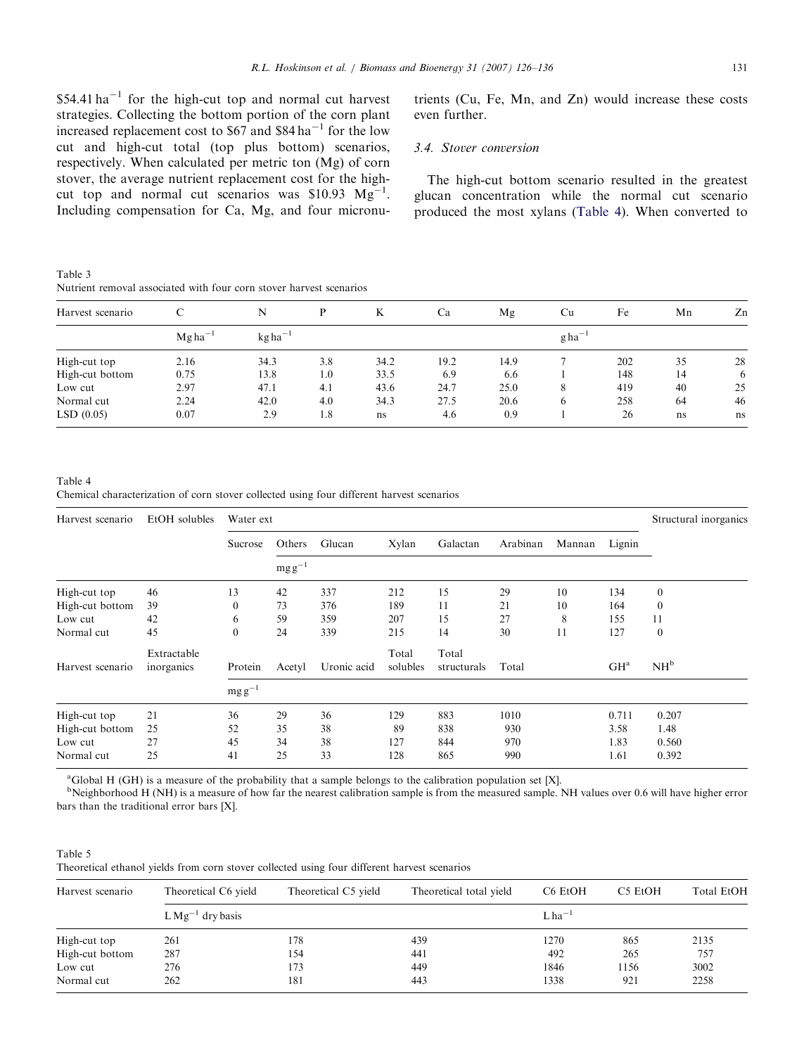<span id="page-5-0"></span> $$54.41$  ha<sup>-1</sup> for the high-cut top and normal cut harvest strategies. Collecting the bottom portion of the corn plant increased replacement cost to  $$67$  and  $$84$  ha<sup>-1</sup> for the low cut and high-cut total (top plus bottom) scenarios, respectively. When calculated per metric ton (Mg) of corn stover, the average nutrient replacement cost for the highcut top and normal cut scenarios was  $$10.93 \text{ Mg}^{-1}$$ . Including compensation for Ca, Mg, and four micronu-

Table 3 Nutrient removal associated with four corn stover harvest scenarios

trients (Cu, Fe, Mn, and Zn) would increase these costs even further.

## 3.4. Stover conversion

The high-cut bottom scenario resulted in the greatest glucan concentration while the normal cut scenario produced the most xylans (Table 4). When converted to

| Harvest scenario |             | N                                  |     | K    | Ca   | Mg   | Cu                   | Fe  | Mn | Zn |
|------------------|-------------|------------------------------------|-----|------|------|------|----------------------|-----|----|----|
|                  | $Mgha^{-1}$ | $kg$ ha <sup><math>-1</math></sup> |     |      |      |      | $g$ ha <sup>-1</sup> |     |    |    |
| High-cut top     | 2.16        | 34.3                               | 3.8 | 34.2 | 19.2 | 14.9 |                      | 202 | 35 | 28 |
| High-cut bottom  | 0.75        | 13.8                               | 1.0 | 33.5 | 6.9  | 6.6  |                      | 148 | 14 | 6  |
| Low cut          | 2.97        | 47.1                               | 4.1 | 43.6 | 24.7 | 25.0 | 8                    | 419 | 40 | 25 |
| Normal cut       | 2.24        | 42.0                               | 4.0 | 34.3 | 27.5 | 20.6 | 6                    | 258 | 64 | 46 |
| LSD(0.05)        | 0.07        | 2.9                                | 1.8 | ns   | 4.6  | 0.9  |                      | 26  | ns | ns |

Table 4 Chemical characterization of corn stover collected using four different harvest scenarios

| Harvest scenario | EtOH solubles             | Water ext    |             |             |                   |                      |          |        |                 | Structural inorganics |
|------------------|---------------------------|--------------|-------------|-------------|-------------------|----------------------|----------|--------|-----------------|-----------------------|
|                  |                           | Sucrose      | Others      | Glucan      | Xylan             | Galactan             | Arabinan | Mannan | Lignin          |                       |
|                  |                           |              | $mg g^{-1}$ |             |                   |                      |          |        |                 |                       |
| High-cut top     | 46                        | 13           | 42          | 337         | 212               | 15                   | 29       | 10     | 134             | $\mathbf{0}$          |
| High-cut bottom  | 39                        | $\mathbf{0}$ | 73          | 376         | 189               | 11                   | 21       | 10     | 164             | $\theta$              |
| Low cut          | 42                        | 6            | 59          | 359         | 207               | 15                   | 27       | 8      | 155             | 11                    |
| Normal cut       | 45                        | $\mathbf{0}$ | 24          | 339         | 215               | 14                   | 30       | 11     | 127             | $\mathbf{0}$          |
| Harvest scenario | Extractable<br>inorganics | Protein      | Acetyl      | Uronic acid | Total<br>solubles | Total<br>structurals | Total    |        | GH <sup>a</sup> | NH <sup>b</sup>       |
|                  |                           | $mg g^{-1}$  |             |             |                   |                      |          |        |                 |                       |
| High-cut top     | 21                        | 36           | 29          | 36          | 129               | 883                  | 1010     |        | 0.711           | 0.207                 |
| High-cut bottom  | 25                        | 52           | 35          | 38          | 89                | 838                  | 930      |        | 3.58            | 1.48                  |
| Low cut          | 27                        | 45           | 34          | 38          | 127               | 844                  | 970      |        | 1.83            | 0.560                 |
| Normal cut       | 25                        | 41           | 25          | 33          | 128               | 865                  | 990      |        | 1.61            | 0.392                 |

a Global H (GH) is a measure of the probability that a sample belongs to the calibration population set [X].

<sup>b</sup>Neighborhood H (NH) is a measure of how far the nearest calibration sample is from the measured sample. NH values over 0.6 will have higher error bars than the traditional error bars [X].

#### Table 5 Theoretical ethanol yields from corn stover collected using four different harvest scenarios

| Harvest scenario | Theoretical C6 yield | Theoretical C5 yield<br>Theoretical total yield |                      | C6 EtOH | C5 EtOH | <b>Total EtOH</b> |
|------------------|----------------------|-------------------------------------------------|----------------------|---------|---------|-------------------|
|                  | $LMg^{-1}$ dry basis |                                                 | $L$ ha <sup>-1</sup> |         |         |                   |
| High-cut top     | 261                  | 178                                             | 439                  | 1270    | 865     | 2135              |
| High-cut bottom  | 287                  | 154                                             | 441                  | 492     | 265     | 757               |
| Low cut          | 276                  | 173                                             | 449                  | 1846    | 1156    | 3002              |
| Normal cut       | 262                  | 181                                             | 443                  | 1338    | 921     | 2258              |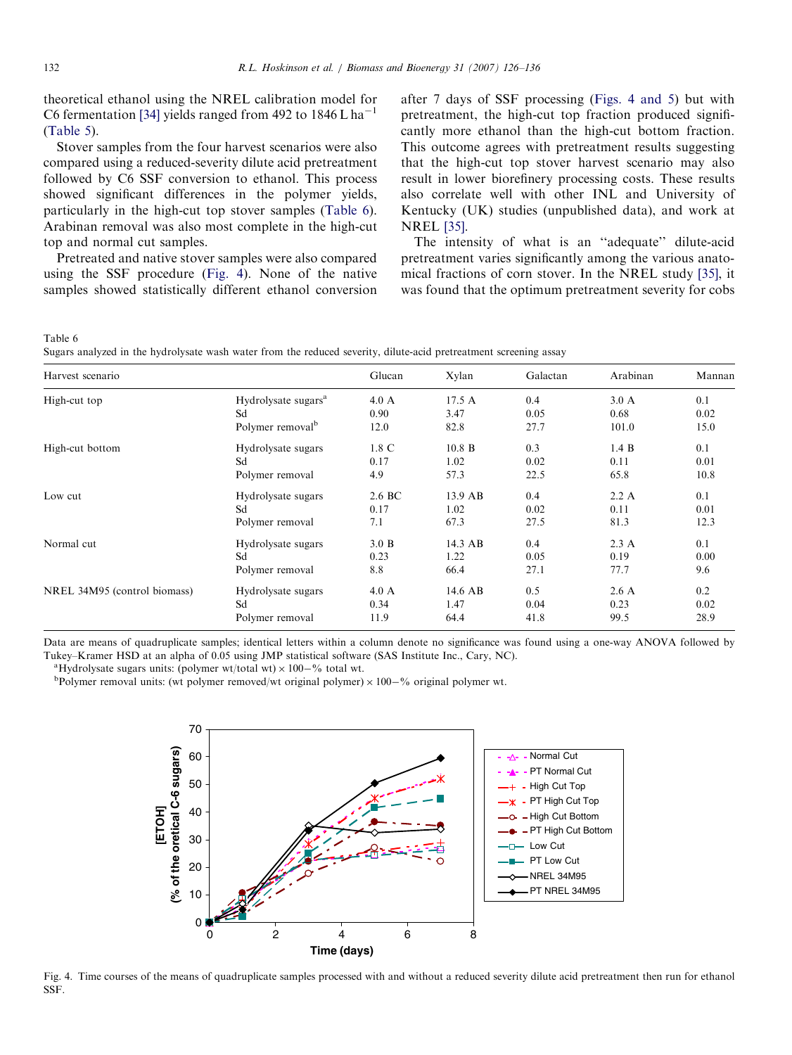theoretical ethanol using the NREL calibration model for C6 fermentation [\[34\]](#page-10-0) yields ranged from 492 to  $1846 \text{ L} \text{ ha}^{-1}$ [\(Table 5\)](#page-5-0).

Stover samples from the four harvest scenarios were also compared using a reduced-severity dilute acid pretreatment followed by C6 SSF conversion to ethanol. This process showed significant differences in the polymer yields, particularly in the high-cut top stover samples (Table 6). Arabinan removal was also most complete in the high-cut top and normal cut samples.

Pretreated and native stover samples were also compared using the SSF procedure (Fig. 4). None of the native samples showed statistically different ethanol conversion after 7 days of SSF processing (Figs. 4 and 5) but with pretreatment, the high-cut top fraction produced significantly more ethanol than the high-cut bottom fraction. This outcome agrees with pretreatment results suggesting that the high-cut top stover harvest scenario may also result in lower biorefinery processing costs. These results also correlate well with other INL and University of Kentucky (UK) studies (unpublished data), and work at NREL [\[35\].](#page-10-0)

The intensity of what is an ''adequate'' dilute-acid pretreatment varies significantly among the various anatomical fractions of corn stover. In the NREL study [\[35\],](#page-10-0) it was found that the optimum pretreatment severity for cobs

Table 6

Sugars analyzed in the hydrolysate wash water from the reduced severity, dilute-acid pretreatment screening assay

| Harvest scenario             |                                 | Glucan          | Xylan     | Galactan | Arabinan       | Mannan |
|------------------------------|---------------------------------|-----------------|-----------|----------|----------------|--------|
| High-cut top                 | Hydrolysate sugars <sup>a</sup> | $4.0\text{ A}$  | 17.5A     | 0.4      | $3.0\text{ A}$ | 0.1    |
|                              | Sd                              | 0.90            | 3.47      | 0.05     | 0.68           | 0.02   |
|                              | Polymer removal <sup>b</sup>    | 12.0            | 82.8      | 27.7     | 101.0          | 15.0   |
| High-cut bottom              | Hydrolysate sugars              | $1.8 \text{ C}$ | 10.8 B    | 0.3      | 1.4 B          | 0.1    |
|                              | Sd                              | 0.17            | 1.02      | 0.02     | 0.11           | 0.01   |
|                              | Polymer removal                 | 4.9             | 57.3      | 22.5     | 65.8           | 10.8   |
| Low cut                      | Hydrolysate sugars              | 2.6 BC          | $13.9$ AB | 0.4      | 2.2 A          | 0.1    |
|                              | Sd                              | 0.17            | 1.02      | 0.02     | 0.11           | 0.01   |
|                              | Polymer removal                 | 7.1             | 67.3      | 27.5     | 81.3           | 12.3   |
| Normal cut                   | Hydrolysate sugars              | 3.0 B           | $14.3$ AB | 0.4      | 2.3A           | 0.1    |
|                              | Sd                              | 0.23            | 1.22      | 0.05     | 0.19           | 0.00   |
|                              | Polymer removal                 | 8.8             | 66.4      | 27.1     | 77.7           | 9.6    |
| NREL 34M95 (control biomass) | Hydrolysate sugars              | $4.0\text{ A}$  | $14.6$ AB | 0.5      | 2.6A           | 0.2    |
|                              | Sd                              | 0.34            | 1.47      | 0.04     | 0.23           | 0.02   |
|                              | Polymer removal                 | 11.9            | 64.4      | 41.8     | 99.5           | 28.9   |

Data are means of quadruplicate samples; identical letters within a column denote no significance was found using a one-way ANOVA followed by Tukey–Kramer HSD at an alpha of 0.05 using JMP statistical software (SAS Institute Inc., Cary, NC). <sup>a</sup>

Hydrolysate sugars units: (polymer wt/total wt)  $\times$  100–% total wt.

<sup>b</sup>Polymer removal units: (wt polymer removed/wt original polymer)  $\times$  100–% original polymer wt.



Fig. 4. Time courses of the means of quadruplicate samples processed with and without a reduced severity dilute acid pretreatment then run for ethanol SSF.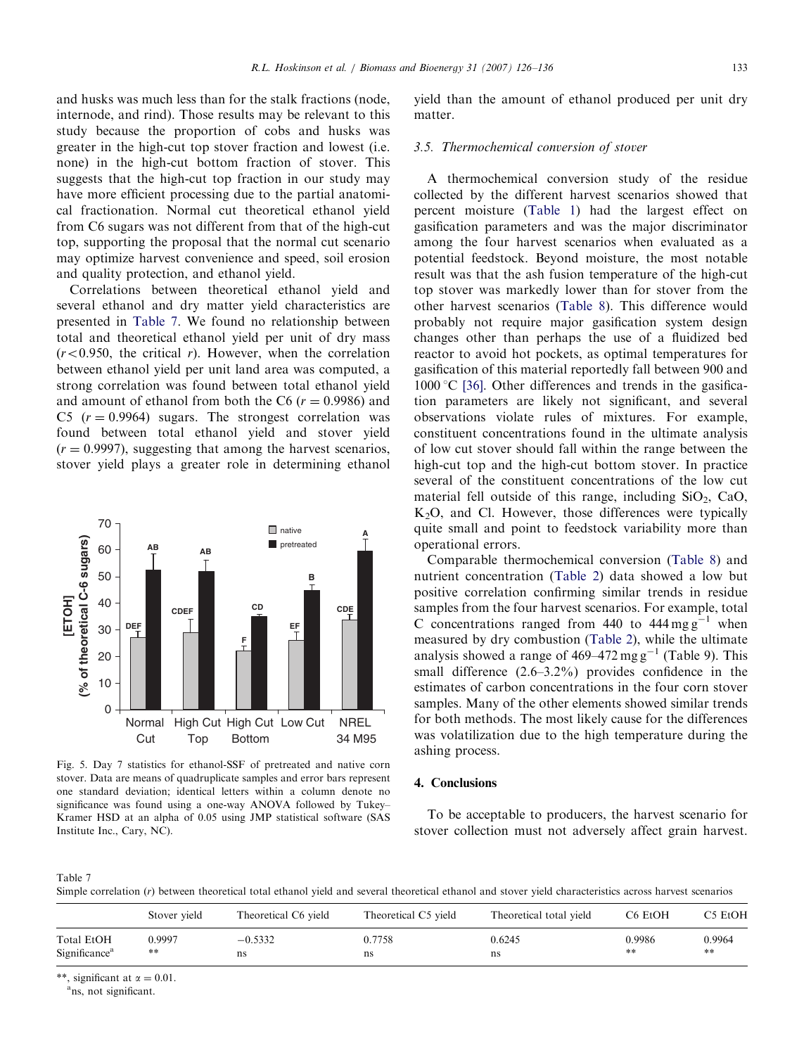and husks was much less than for the stalk fractions (node, internode, and rind). Those results may be relevant to this study because the proportion of cobs and husks was greater in the high-cut top stover fraction and lowest (i.e. none) in the high-cut bottom fraction of stover. This suggests that the high-cut top fraction in our study may have more efficient processing due to the partial anatomical fractionation. Normal cut theoretical ethanol yield from C6 sugars was not different from that of the high-cut top, supporting the proposal that the normal cut scenario may optimize harvest convenience and speed, soil erosion and quality protection, and ethanol yield.

Correlations between theoretical ethanol yield and several ethanol and dry matter yield characteristics are presented in Table 7. We found no relationship between total and theoretical ethanol yield per unit of dry mass  $(r<0.950$ , the critical r). However, when the correlation between ethanol yield per unit land area was computed, a strong correlation was found between total ethanol yield and amount of ethanol from both the C6 ( $r = 0.9986$ ) and C5 ( $r = 0.9964$ ) sugars. The strongest correlation was found between total ethanol yield and stover yield  $(r = 0.9997)$ , suggesting that among the harvest scenarios, stover yield plays a greater role in determining ethanol



Fig. 5. Day 7 statistics for ethanol-SSF of pretreated and native corn stover. Data are means of quadruplicate samples and error bars represent one standard deviation; identical letters within a column denote no significance was found using a one-way ANOVA followed by Tukey– Kramer HSD at an alpha of 0.05 using JMP statistical software (SAS Institute Inc., Cary, NC).

yield than the amount of ethanol produced per unit dry matter.

## 3.5. Thermochemical conversion of stover

A thermochemical conversion study of the residue collected by the different harvest scenarios showed that percent moisture [\(Table 1](#page-3-0)) had the largest effect on gasification parameters and was the major discriminator among the four harvest scenarios when evaluated as a potential feedstock. Beyond moisture, the most notable result was that the ash fusion temperature of the high-cut top stover was markedly lower than for stover from the other harvest scenarios ([Table 8](#page-8-0)). This difference would probably not require major gasification system design changes other than perhaps the use of a fluidized bed reactor to avoid hot pockets, as optimal temperatures for gasification of this material reportedly fall between 900 and  $1000 \degree C$  [\[36\]](#page-10-0). Other differences and trends in the gasification parameters are likely not significant, and several observations violate rules of mixtures. For example, constituent concentrations found in the ultimate analysis of low cut stover should fall within the range between the high-cut top and the high-cut bottom stover. In practice several of the constituent concentrations of the low cut material fell outside of this range, including  $SiO<sub>2</sub>$ , CaO,  $K<sub>2</sub>O$ , and Cl. However, those differences were typically quite small and point to feedstock variability more than operational errors.

Comparable thermochemical conversion [\(Table 8\)](#page-8-0) and nutrient concentration ([Table 2\)](#page-4-0) data showed a low but positive correlation confirming similar trends in residue samples from the four harvest scenarios. For example, total C concentrations ranged from 440 to  $444 \text{ mg g}^{-1}$  when measured by dry combustion [\(Table 2\)](#page-4-0), while the ultimate analysis showed a range of  $469-472$  mg g<sup>-1</sup> (Table 9). This small difference (2.6–3.2%) provides confidence in the estimates of carbon concentrations in the four corn stover samples. Many of the other elements showed similar trends for both methods. The most likely cause for the differences was volatilization due to the high temperature during the ashing process.

#### 4. Conclusions

To be acceptable to producers, the harvest scenario for stover collection must not adversely affect grain harvest.

Table 7

Simple correlation (r) between theoretical total ethanol yield and several theoretical ethanol and stover yield characteristics across harvest scenarios

|                           | Stover yield | Theoretical C6 yield | Theoretical C5 yield | Theoretical total yield | C <sub>6</sub> Et <sub>O</sub> H | C5 EtOH            |
|---------------------------|--------------|----------------------|----------------------|-------------------------|----------------------------------|--------------------|
| Total EtOH                | 0.9997       | $-0.5332$            | 0.7758               | 0.6245                  | 0.9986                           | 0.9964             |
| Significance <sup>a</sup> | $* *$        | ns                   | ns                   | ns                      | $**$                             | $\approx$ $\times$ |

\*\*, significant at  $\alpha = 0.01$ .

<sup>a</sup>ns, not significant.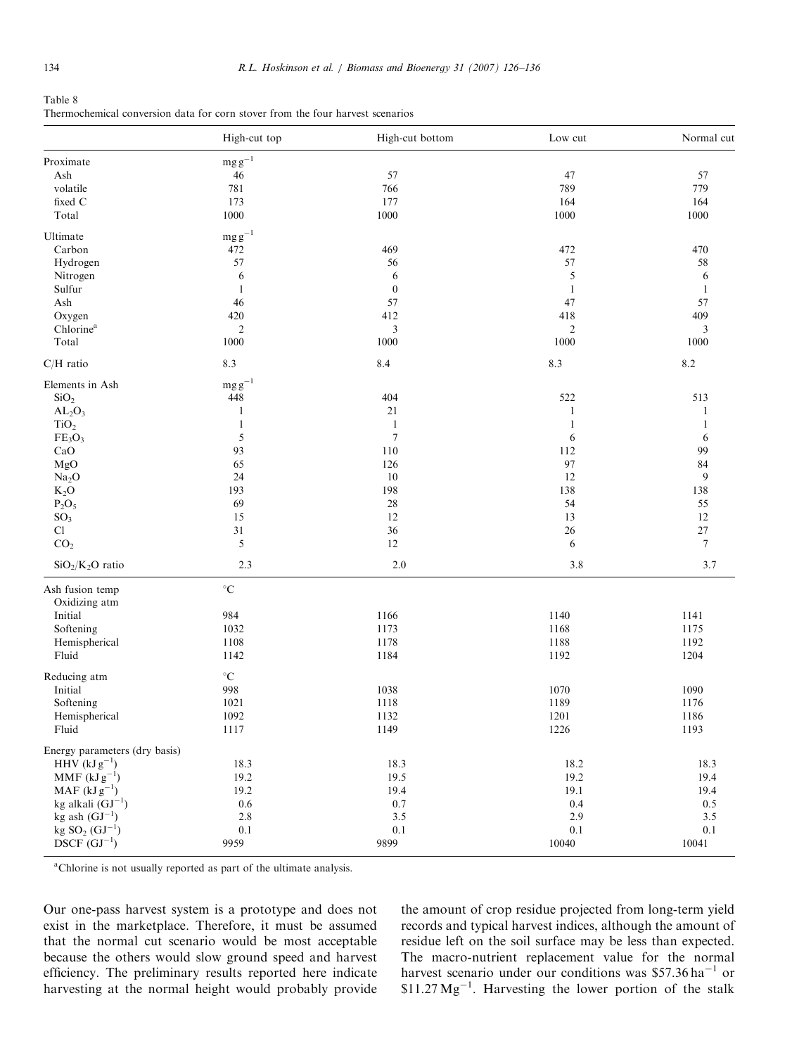<span id="page-8-0"></span>

| Table 8                                                                        |  |  |  |  |
|--------------------------------------------------------------------------------|--|--|--|--|
| Thermochemical conversion data for corn stover from the four harvest scenarios |  |  |  |  |

|                                | High-cut top          | High-cut bottom  | Low cut        | Normal cut   |
|--------------------------------|-----------------------|------------------|----------------|--------------|
| Proximate                      | $mgg^{-1}$            |                  |                |              |
| Ash                            | $46\,$                | 57               | 47             | 57           |
| volatile                       | 781                   | 766              | 789            | 779          |
| fixed C                        | 173                   | 177              | 164            | 164          |
| Total                          | $1000\,$              | 1000             | 1000           | 1000         |
| Ultimate                       | $\mathrm{mg\,g}^{-1}$ |                  |                |              |
| Carbon                         | 472                   | 469              | 472            | 470          |
| Hydrogen                       | 57                    | 56               | 57             | 58           |
| Nitrogen                       | 6                     | 6                | 5              | 6            |
| Sulfur                         | $\mathbf{1}$          | $\boldsymbol{0}$ | $\mathbf{1}$   | $\mathbf{1}$ |
| Ash                            | 46                    | 57               | 47             | 57           |
|                                | 420                   | 412              | 418            | 409          |
| Oxygen                         |                       |                  |                |              |
| Chlorine <sup>a</sup>          | $\mathfrak{2}$        | $\mathfrak{Z}$   | $\overline{2}$ | 3            |
| Total                          | 1000                  | 1000             | 1000           | 1000         |
| $C/H$ ratio                    | 8.3                   | 8.4              | 8.3            | 8.2          |
| Elements in Ash                | $mg g^{-1}$           |                  |                |              |
| SiO <sub>2</sub>               | 448                   | 404              | 522            | 513          |
| $AL_2O_3$                      | $\mathbf{1}$          | 21               | $\mathbf{1}$   | 1            |
| TiO <sub>2</sub>               | $\mathbf{1}$          | $\mathbf{1}$     | $\mathbf{1}$   | 1            |
| FE <sub>3</sub> O <sub>3</sub> | 5                     | $\overline{7}$   | 6              | 6            |
| CaO                            | 93                    | 110              | 112            | 99           |
| MgO                            | 65                    | 126              | 97             | 84           |
|                                |                       | 10               |                | 9            |
| Na <sub>2</sub> O              | 24                    |                  | 12             |              |
| $K_2O$                         | 193                   | 198              | 138            | 138          |
| $P_2O_5$                       | 69                    | 28               | 54             | 55           |
| SO <sub>3</sub>                | 15                    | 12               | 13             | 12           |
| Cl                             | $31\,$                | $36\,$           | 26             | $27\,$       |
| CO <sub>2</sub>                | 5                     | 12               | 6              | $\tau$       |
| $SiO2/K2O$ ratio               | 2.3                   | $2.0\,$          | $3.8\,$        | 3.7          |
| Ash fusion temp                | $^\circ \text{C}$     |                  |                |              |
| Oxidizing atm                  |                       |                  |                |              |
| Initial                        | 984                   | 1166             | 1140           | 1141         |
| Softening                      | 1032                  | 1173             | 1168           | 1175         |
| Hemispherical                  | 1108                  | 1178             | 1188           | 1192         |
| Fluid                          | 1142                  | 1184             | 1192           | 1204         |
| Reducing atm                   | $^\circ \text{C}$     |                  |                |              |
| Initial                        | 998                   | 1038             | 1070           | 1090         |
| Softening                      | 1021                  | 1118             | 1189           | 1176         |
| Hemispherical                  | 1092                  | 1132             | 1201           | 1186         |
| Fluid                          | 1117                  | 1149             | 1226           | 1193         |
| Energy parameters (dry basis)  |                       |                  |                |              |
| $HHV$ (kJ $g^{-1}$ )           | 18.3                  | 18.3             | 18.2           | 18.3         |
| $MMF(kJg^{-1})$                | 19.2                  | 19.5             | 19.2           | 19.4         |
| $MAF (kJg^{-1})$               | 19.2                  | 19.4             | 19.1           | 19.4         |
| kg alkali $(GJ^{-1})$          | $0.6\,$               | 0.7              | 0.4            | 0.5          |
| kg ash $(GJ^{-1})$             | 2.8                   | 3.5              | 2.9            | 3.5          |
| $kg SO2 (GJ-1)$                | $0.1\,$               | $0.1\,$          | 0.1            | $0.1\,$      |
| $DSCF$ $(GJ^{-1})$             | 9959                  | 9899             | 10040          | 10041        |
|                                |                       |                  |                |              |

<sup>a</sup>Chlorine is not usually reported as part of the ultimate analysis.

Our one-pass harvest system is a prototype and does not exist in the marketplace. Therefore, it must be assumed that the normal cut scenario would be most acceptable because the others would slow ground speed and harvest efficiency. The preliminary results reported here indicate harvesting at the normal height would probably provide the amount of crop residue projected from long-term yield records and typical harvest indices, although the amount of residue left on the soil surface may be less than expected. The macro-nutrient replacement value for the normal harvest scenario under our conditions was  $$57.36$  ha<sup>-1</sup> or  $$11.27 \text{ Mg}^{-1}$ . Harvesting the lower portion of the stalk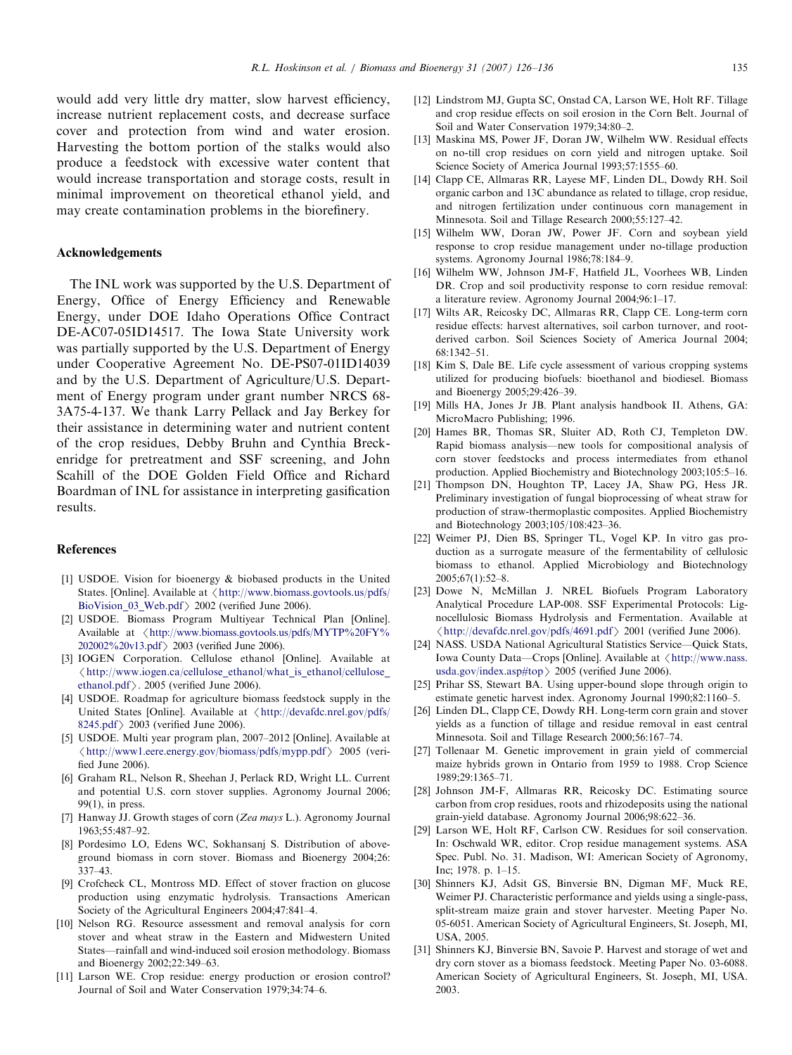<span id="page-9-0"></span>would add very little dry matter, slow harvest efficiency, increase nutrient replacement costs, and decrease surface cover and protection from wind and water erosion. Harvesting the bottom portion of the stalks would also produce a feedstock with excessive water content that would increase transportation and storage costs, result in minimal improvement on theoretical ethanol yield, and may create contamination problems in the biorefinery.

### Acknowledgements

The INL work was supported by the U.S. Department of Energy, Office of Energy Efficiency and Renewable Energy, under DOE Idaho Operations Office Contract DE-AC07-05ID14517. The Iowa State University work was partially supported by the U.S. Department of Energy under Cooperative Agreement No. DE-PS07-01ID14039 and by the U.S. Department of Agriculture/U.S. Department of Energy program under grant number NRCS 68- 3A75-4-137. We thank Larry Pellack and Jay Berkey for their assistance in determining water and nutrient content of the crop residues, Debby Bruhn and Cynthia Breckenridge for pretreatment and SSF screening, and John Scahill of the DOE Golden Field Office and Richard Boardman of INL for assistance in interpreting gasification results.

#### References

- [1] USDOE. Vision for bioenergy & biobased products in the United States. [Online]. Available at  $\langle$  [http://www.biomass.govtools.us/pdfs/](http://www.biomass.govtools.us/pdfs/BioVision_03_Web.pdf) [BioVision\\_03\\_Web.pdf](http://www.biomass.govtools.us/pdfs/BioVision_03_Web.pdf)  $>$  2002 (verified June 2006).
- [2] USDOE. Biomass Program Multiyear Technical Plan [Online]. Available at  $\langle$  [http://www.biomass.govtools.us/pdfs/MYTP%20FY%](http://www.biomass.govtools.us/pdfs/MYTP%20FY%202002%20v13.pdf) [202002%20v13.pdf](http://www.biomass.govtools.us/pdfs/MYTP%20FY%202002%20v13.pdf) 2003 (verified June 2006).
- [3] IOGEN Corporation. Cellulose ethanol [Online]. Available at /[http://www.iogen.ca/cellulose\\_ethanol/what\\_is\\_ethanol/cellulose\\_](http://www.iogen.ca/cellulose_ethanol/what_is_ethanol/cellulose_ethanol.pdf) [ethanol.pdf](http://www.iogen.ca/cellulose_ethanol/what_is_ethanol/cellulose_ethanol.pdf) $\rangle$ . 2005 (verified June 2006).
- [4] USDOE. Roadmap for agriculture biomass feedstock supply in the United States [Online]. Available at  $\langle$  [http://devafdc.nrel.gov/pdfs/](http://devafdc.nrel.gov/pdfs/8245.pdf)  $8245.$ pdf $> 2003$  (verified June 2006).
- [5] USDOE. Multi year program plan, 2007–2012 [Online]. Available at  $\langle$  <http://www1.eere.energy.gov/biomass/pdfs/mypp.pdf> > 2005 (verified June 2006).
- [6] Graham RL, Nelson R, Sheehan J, Perlack RD, Wright LL. Current and potential U.S. corn stover supplies. Agronomy Journal 2006; 99(1), in press.
- [7] Hanway JJ. Growth stages of corn (Zea mays L.). Agronomy Journal 1963;55:487–92.
- [8] Pordesimo LO, Edens WC, Sokhansanj S. Distribution of aboveground biomass in corn stover. Biomass and Bioenergy 2004;26: 337–43.
- [9] Crofcheck CL, Montross MD. Effect of stover fraction on glucose production using enzymatic hydrolysis. Transactions American Society of the Agricultural Engineers 2004;47:841–4.
- [10] Nelson RG. Resource assessment and removal analysis for corn stover and wheat straw in the Eastern and Midwestern United States—rainfall and wind-induced soil erosion methodology. Biomass and Bioenergy 2002;22:349–63.
- [11] Larson WE. Crop residue: energy production or erosion control? Journal of Soil and Water Conservation 1979;34:74–6.
- [12] Lindstrom MJ, Gupta SC, Onstad CA, Larson WE, Holt RF. Tillage and crop residue effects on soil erosion in the Corn Belt. Journal of Soil and Water Conservation 1979;34:80–2.
- [13] Maskina MS, Power JF, Doran JW, Wilhelm WW. Residual effects on no-till crop residues on corn yield and nitrogen uptake. Soil Science Society of America Journal 1993;57:1555–60.
- [14] Clapp CE, Allmaras RR, Layese MF, Linden DL, Dowdy RH. Soil organic carbon and 13C abundance as related to tillage, crop residue, and nitrogen fertilization under continuous corn management in Minnesota. Soil and Tillage Research 2000;55:127–42.
- [15] Wilhelm WW, Doran JW, Power JF. Corn and soybean yield response to crop residue management under no-tillage production systems. Agronomy Journal 1986;78:184–9.
- [16] Wilhelm WW, Johnson JM-F, Hatfield JL, Voorhees WB, Linden DR. Crop and soil productivity response to corn residue removal: a literature review. Agronomy Journal 2004;96:1–17.
- [17] Wilts AR, Reicosky DC, Allmaras RR, Clapp CE. Long-term corn residue effects: harvest alternatives, soil carbon turnover, and rootderived carbon. Soil Sciences Society of America Journal 2004; 68:1342–51.
- [18] Kim S, Dale BE. Life cycle assessment of various cropping systems utilized for producing biofuels: bioethanol and biodiesel. Biomass and Bioenergy 2005;29:426–39.
- [19] Mills HA, Jones Jr JB. Plant analysis handbook II. Athens, GA: MicroMacro Publishing; 1996.
- [20] Hames BR, Thomas SR, Sluiter AD, Roth CJ, Templeton DW. Rapid biomass analysis—new tools for compositional analysis of corn stover feedstocks and process intermediates from ethanol production. Applied Biochemistry and Biotechnology 2003;105:5–16.
- [21] Thompson DN, Houghton TP, Lacey JA, Shaw PG, Hess JR. Preliminary investigation of fungal bioprocessing of wheat straw for production of straw-thermoplastic composites. Applied Biochemistry and Biotechnology 2003;105/108:423–36.
- [22] Weimer PJ, Dien BS, Springer TL, Vogel KP. In vitro gas production as a surrogate measure of the fermentability of cellulosic biomass to ethanol. Applied Microbiology and Biotechnology 2005;67(1):52–8.
- [23] Dowe N, McMillan J. NREL Biofuels Program Laboratory Analytical Procedure LAP-008. SSF Experimental Protocols: Lignocellulosic Biomass Hydrolysis and Fermentation. Available at  $\langle$  <http://devafdc.nrel.gov/pdfs/4691.pdf> > 2001 (verified June 2006).
- [24] NASS. USDA National Agricultural Statistics Service—Quick Stats, Iowa County Data—Crops [Online]. Available at  $\langle$  [http://www.nass.](http://www.nass.usda.gov/index.asp#top) [usda.gov/index.asp#top](http://www.nass.usda.gov/index.asp#top)  $> 2005$  (verified June 2006).
- [25] Prihar SS, Stewart BA. Using upper-bound slope through origin to estimate genetic harvest index. Agronomy Journal 1990;82:1160–5.
- [26] Linden DL, Clapp CE, Dowdy RH. Long-term corn grain and stover yields as a function of tillage and residue removal in east central Minnesota. Soil and Tillage Research 2000;56:167–74.
- [27] Tollenaar M. Genetic improvement in grain yield of commercial maize hybrids grown in Ontario from 1959 to 1988. Crop Science 1989;29:1365–71.
- [28] Johnson JM-F, Allmaras RR, Reicosky DC. Estimating source carbon from crop residues, roots and rhizodeposits using the national grain-yield database. Agronomy Journal 2006;98:622–36.
- [29] Larson WE, Holt RF, Carlson CW. Residues for soil conservation. In: Oschwald WR, editor. Crop residue management systems. ASA Spec. Publ. No. 31. Madison, WI: American Society of Agronomy, Inc; 1978. p. 1–15.
- [30] Shinners KJ, Adsit GS, Binversie BN, Digman MF, Muck RE, Weimer PJ. Characteristic performance and yields using a single-pass, split-stream maize grain and stover harvester. Meeting Paper No. 05-6051. American Society of Agricultural Engineers, St. Joseph, MI, USA, 2005.
- [31] Shinners KJ, Binversie BN, Savoie P. Harvest and storage of wet and dry corn stover as a biomass feedstock. Meeting Paper No. 03-6088. American Society of Agricultural Engineers, St. Joseph, MI, USA. 2003.